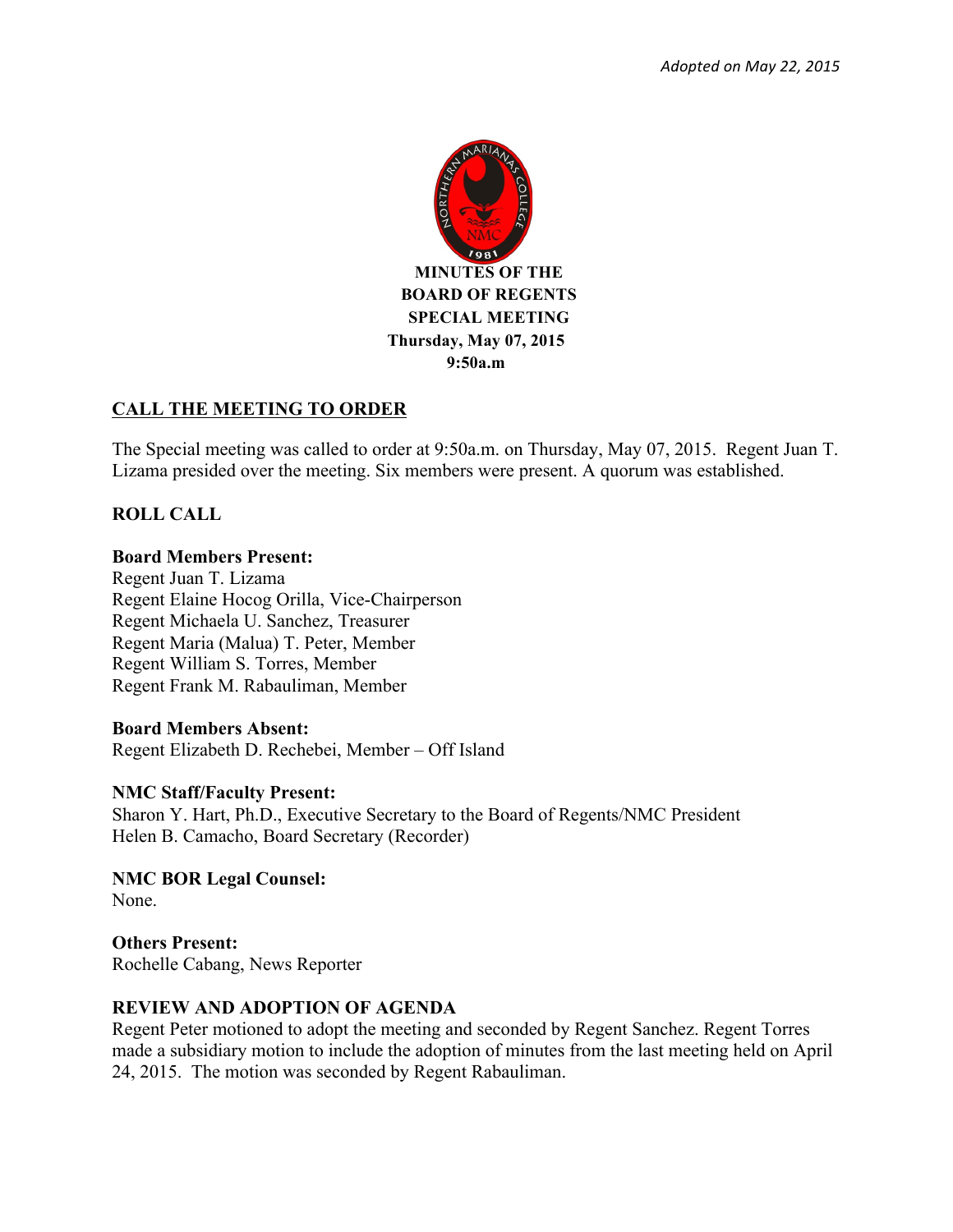

# **CALL THE MEETING TO ORDER**

The Special meeting was called to order at 9:50a.m. on Thursday, May 07, 2015. Regent Juan T. Lizama presided over the meeting. Six members were present. A quorum was established.

# **ROLL CALL**

## **Board Members Present:**

Regent Juan T. Lizama Regent Elaine Hocog Orilla, Vice-Chairperson Regent Michaela U. Sanchez, Treasurer Regent Maria (Malua) T. Peter, Member Regent William S. Torres, Member Regent Frank M. Rabauliman, Member

### **Board Members Absent:**

Regent Elizabeth D. Rechebei, Member – Off Island

### **NMC Staff/Faculty Present:**

Sharon Y. Hart, Ph.D., Executive Secretary to the Board of Regents/NMC President Helen B. Camacho, Board Secretary (Recorder)

**NMC BOR Legal Counsel:** None.

**Others Present:**  Rochelle Cabang, News Reporter

### **REVIEW AND ADOPTION OF AGENDA**

Regent Peter motioned to adopt the meeting and seconded by Regent Sanchez. Regent Torres made a subsidiary motion to include the adoption of minutes from the last meeting held on April 24, 2015. The motion was seconded by Regent Rabauliman.